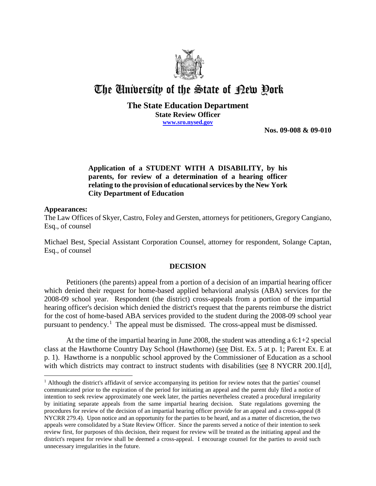

# The University of the State of Pew Pork

### **The State Education Department State Review Officer www.sro.nysed.gov**

**Nos. 09-008 & 09-010** 

# **Application of a STUDENT WITH A DISABILITY, by his parents, for review of a determination of a hearing officer relating to the provision of educational services by the New York City Department of Education**

#### **Appearances:**

 $\overline{a}$ 

The Law Offices of Skyer, Castro, Foley and Gersten, attorneys for petitioners, Gregory Cangiano, Esq., of counsel

Michael Best, Special Assistant Corporation Counsel, attorney for respondent, Solange Captan, Esq., of counsel

## **DECISION**

Petitioners (the parents) appeal from a portion of a decision of an impartial hearing officer which denied their request for home-based applied behavioral analysis (ABA) services for the 2008-09 school year. Respondent (the district) cross-appeals from a portion of the impartial hearing officer's decision which denied the district's request that the parents reimburse the district for the cost of home-based ABA services provided to the student during the 2008-09 school year pursuant to pendency.<sup>1</sup> The appeal must be dismissed. The cross-appeal must be dismissed.

At the time of the impartial hearing in June 2008, the student was attending a 6:1+2 special class at the Hawthorne Country Day School (Hawthorne) (see Dist. Ex. 5 at p. 1; Parent Ex. E at p. 1). Hawthorne is a nonpublic school approved by the Commissioner of Education as a school with which districts may contract to instruct students with disabilities (see 8 NYCRR 200.1[d],

<sup>&</sup>lt;sup>1</sup> Although the district's affidavit of service accompanying its petition for review notes that the parties' counsel communicated prior to the expiration of the period for initiating an appeal and the parent duly filed a notice of intention to seek review approximately one week later, the parties nevertheless created a procedural irregularity by initiating separate appeals from the same impartial hearing decision. State regulations governing the procedures for review of the decision of an impartial hearing officer provide for an appeal and a cross-appeal (8 NYCRR 279.4). Upon notice and an opportunity for the parties to be heard, and as a matter of discretion, the two appeals were consolidated by a State Review Officer. Since the parents served a notice of their intention to seek review first, for purposes of this decision, their request for review will be treated as the initiating appeal and the district's request for review shall be deemed a cross-appeal. I encourage counsel for the parties to avoid such unnecessary irregularities in the future.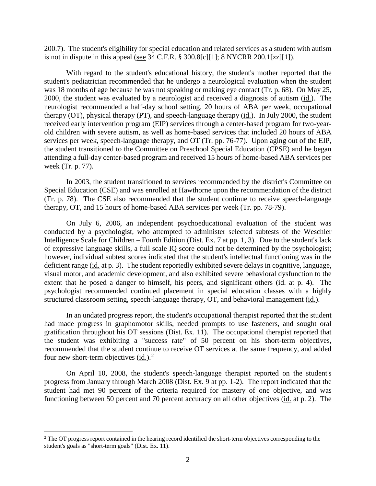200.7). The student's eligibility for special education and related services as a student with autism is not in dispute in this appeal (see 34 C.F.R. § 300.8[c][1]; 8 NYCRR 200.1[zz][1]).

With regard to the student's educational history, the student's mother reported that the student's pediatrician recommended that he undergo a neurological evaluation when the student was 18 months of age because he was not speaking or making eye contact (Tr. p. 68). On May 25, 2000, the student was evaluated by a neurologist and received a diagnosis of autism (id.). The neurologist recommended a half-day school setting, 20 hours of ABA per week, occupational therapy (OT), physical therapy (PT), and speech-language therapy (id.). In July 2000, the student received early intervention program (EIP) services through a center-based program for two-yearold children with severe autism, as well as home-based services that included 20 hours of ABA services per week, speech-language therapy, and OT (Tr. pp. 76-77). Upon aging out of the EIP, the student transitioned to the Committee on Preschool Special Education (CPSE) and he began attending a full-day center-based program and received 15 hours of home-based ABA services per week (Tr. p. 77).

In 2003, the student transitioned to services recommended by the district's Committee on Special Education (CSE) and was enrolled at Hawthorne upon the recommendation of the district (Tr. p. 78). The CSE also recommended that the student continue to receive speech-language therapy, OT, and 15 hours of home-based ABA services per week (Tr. pp. 78-79).

On July 6, 2006, an independent psychoeducational evaluation of the student was conducted by a psychologist, who attempted to administer selected subtests of the Weschler Intelligence Scale for Children – Fourth Edition (Dist. Ex. 7 at pp. 1, 3). Due to the student's lack of expressive language skills, a full scale IQ score could not be determined by the psychologist; however, individual subtest scores indicated that the student's intellectual functioning was in the deficient range (id. at p. 3). The student reportedly exhibited severe delays in cognitive, language, visual motor, and academic development, and also exhibited severe behavioral dysfunction to the extent that he posed a danger to himself, his peers, and significant others (id. at p. 4). The psychologist recommended continued placement in special education classes with a highly structured classroom setting, speech-language therapy, OT, and behavioral management (id.).

In an undated progress report, the student's occupational therapist reported that the student had made progress in graphomotor skills, needed prompts to use fasteners, and sought oral gratification throughout his OT sessions (Dist. Ex. 11). The occupational therapist reported that the student was exhibiting a "success rate" of 50 percent on his short-term objectives, recommended that the student continue to receive OT services at the same frequency, and added four new short-term objectives  $(id.)^2$ .

On April 10, 2008, the student's speech-language therapist reported on the student's progress from January through March 2008 (Dist. Ex. 9 at pp. 1-2). The report indicated that the student had met 90 percent of the criteria required for mastery of one objective, and was functioning between 50 percent and 70 percent accuracy on all other objectives (id. at p. 2). The

<sup>&</sup>lt;sup>2</sup> The OT progress report contained in the hearing record identified the short-term objectives corresponding to the student's goals as "short-term goals" (Dist. Ex. 11).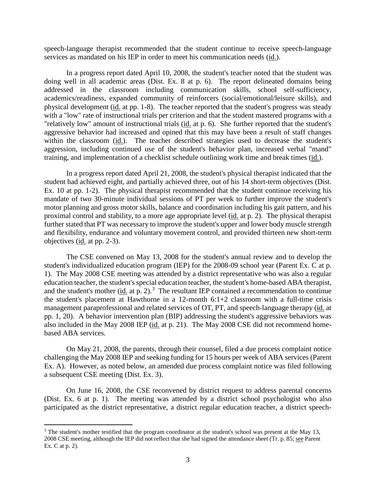speech-language therapist recommended that the student continue to receive speech-language services as mandated on his IEP in order to meet his communication needs (id.).

In a progress report dated April 10, 2008, the student's teacher noted that the student was doing well in all academic areas (Dist. Ex. 8 at p. 6). The report delineated domains being addressed in the classroom including communication skills, school self-sufficiency, academics/readiness, expanded community of reinforcers (social/emotional/leisure skills), and physical development (id. at pp. 1-8). The teacher reported that the student's progress was steady with a "low" rate of instructional trials per criterion and that the student mastered programs with a "relatively low" amount of instructional trials (id. at p. 6). She further reported that the student's aggressive behavior had increased and opined that this may have been a result of staff changes within the classroom (id.). The teacher described strategies used to decrease the student's aggression, including continued use of the student's behavior plan, increased verbal "mand" training, and implementation of a checklist schedule outlining work time and break times (id.).

In a progress report dated April 21, 2008, the student's physical therapist indicated that the student had achieved eight, and partially achieved three, out of his 14 short-term objectives (Dist. Ex. 10 at pp. 1-2). The physical therapist recommended that the student continue receiving his mandate of two 30-minute individual sessions of PT per week to further improve the student's motor planning and gross motor skills, balance and coordination including his gait pattern, and his proximal control and stability, to a more age appropriate level (id. at p. 2). The physical therapist further stated that PT was necessary to improve the student's upper and lower body muscle strength and flexibility, endurance and voluntary movement control, and provided thirteen new short-term objectives (id. at pp. 2-3).

The CSE convened on May 13, 2008 for the student's annual review and to develop the student's individualized education program (IEP) for the 2008-09 school year (Parent Ex. C at p. 1). The May 2008 CSE meeting was attended by a district representative who was also a regular education teacher, the student's special education teacher, the student's home-based ABA therapist, and the student's mother  $(id_i$  at p. 2).<sup>3</sup> The resultant IEP contained a recommendation to continue the student's placement at Hawthorne in a 12-month 6:1+2 classroom with a full-time crisis management paraprofessional and related services of OT, PT, and speech-language therapy (id. at pp. 1, 20). A behavior intervention plan (BIP) addressing the student's aggressive behaviors was also included in the May 2008 IEP (id. at p. 21). The May 2008 CSE did not recommend homebased ABA services.

On May 21, 2008, the parents, through their counsel, filed a due process complaint notice challenging the May 2008 IEP and seeking funding for 15 hours per week of ABA services (Parent Ex. A). However, as noted below, an amended due process complaint notice was filed following a subsequent CSE meeting (Dist. Ex. 3).

On June 16, 2008, the CSE reconvened by district request to address parental concerns (Dist. Ex. 6 at p. 1). The meeting was attended by a district school psychologist who also participated as the district representative, a district regular education teacher, a district speech-

<sup>&</sup>lt;sup>3</sup> The student's mother testified that the program coordinator at the student's school was present at the May 13, 2008 CSE meeting, although the IEP did not reflect that she had signed the attendance sheet (Tr. p. 85; see Parent Ex. C at p. 2).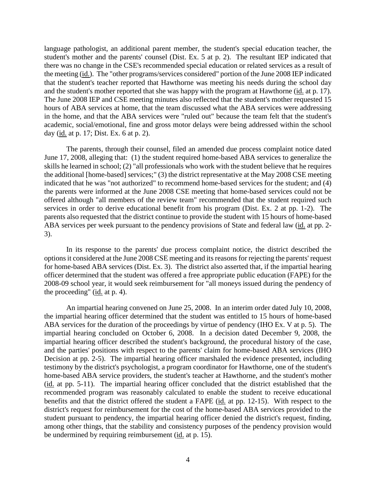language pathologist, an additional parent member, the student's special education teacher, the student's mother and the parents' counsel (Dist. Ex. 5 at p. 2). The resultant IEP indicated that there was no change in the CSE's recommended special education or related services as a result of the meeting (id.). The "other programs/services considered" portion of the June 2008 IEP indicated that the student's teacher reported that Hawthorne was meeting his needs during the school day and the student's mother reported that she was happy with the program at Hawthorne (id. at p. 17). The June 2008 IEP and CSE meeting minutes also reflected that the student's mother requested 15 hours of ABA services at home, that the team discussed what the ABA services were addressing in the home, and that the ABA services were "ruled out" because the team felt that the student's academic, social/emotional, fine and gross motor delays were being addressed within the school day (id. at p. 17; Dist. Ex. 6 at p. 2).

The parents, through their counsel, filed an amended due process complaint notice dated June 17, 2008, alleging that: (1) the student required home-based ABA services to generalize the skills he learned in school; (2) "all professionals who work with the student believe that he requires the additional [home-based] services;" (3) the district representative at the May 2008 CSE meeting indicated that he was "not authorized" to recommend home-based services for the student; and (4) the parents were informed at the June 2008 CSE meeting that home-based services could not be offered although "all members of the review team" recommended that the student required such services in order to derive educational benefit from his program (Dist. Ex. 2 at pp. 1-2). The parents also requested that the district continue to provide the student with 15 hours of home-based ABA services per week pursuant to the pendency provisions of State and federal law (id. at pp. 2-3).

In its response to the parents' due process complaint notice, the district described the optionsit considered at the June 2008 CSE meeting and its reasons for rejecting the parents' request for home-based ABA services (Dist. Ex. 3). The district also asserted that, if the impartial hearing officer determined that the student was offered a free appropriate public education (FAPE) for the 2008-09 school year, it would seek reimbursement for "all moneys issued during the pendency of the proceeding" (id. at p. 4).

An impartial hearing convened on June 25, 2008. In an interim order dated July 10, 2008, the impartial hearing officer determined that the student was entitled to 15 hours of home-based ABA services for the duration of the proceedings by virtue of pendency (IHO Ex. V at p. 5). The impartial hearing concluded on October 6, 2008. In a decision dated December 9, 2008, the impartial hearing officer described the student's background, the procedural history of the case, and the parties' positions with respect to the parents' claim for home-based ABA services (IHO Decision at pp. 2-5). The impartial hearing officer marshaled the evidence presented, including testimony by the district's psychologist, a program coordinator for Hawthorne, one of the student's home-based ABA service providers, the student's teacher at Hawthorne, and the student's mother (id. at pp. 5-11). The impartial hearing officer concluded that the district established that the recommended program was reasonably calculated to enable the student to receive educational benefits and that the district offered the student a FAPE (id. at pp. 12-15). With respect to the district's request for reimbursement for the cost of the home-based ABA services provided to the student pursuant to pendency, the impartial hearing officer denied the district's request, finding, among other things, that the stability and consistency purposes of the pendency provision would be undermined by requiring reimbursement (id. at p. 15).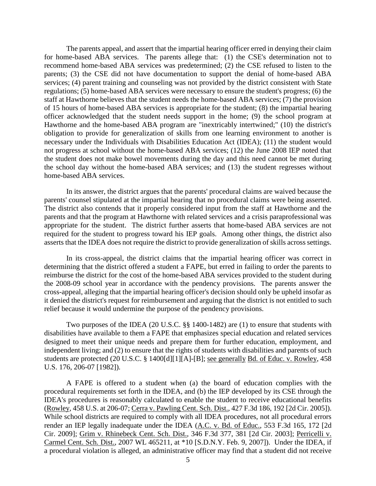The parents appeal, and assert that the impartial hearing officer erred in denying their claim for home-based ABA services. The parents allege that: (1) the CSE's determination not to recommend home-based ABA services was predetermined; (2) the CSE refused to listen to the parents; (3) the CSE did not have documentation to support the denial of home-based ABA services; (4) parent training and counseling was not provided by the district consistent with State regulations; (5) home-based ABA services were necessary to ensure the student's progress; (6) the staff at Hawthorne believes that the student needs the home-based ABA services; (7) the provision of 15 hours of home-based ABA services is appropriate for the student; (8) the impartial hearing officer acknowledged that the student needs support in the home; (9) the school program at Hawthorne and the home-based ABA program are "inextricably intertwined;" (10) the district's obligation to provide for generalization of skills from one learning environment to another is necessary under the Individuals with Disabilities Education Act (IDEA); (11) the student would not progress at school without the home-based ABA services; (12) the June 2008 IEP noted that the student does not make bowel movements during the day and this need cannot be met during the school day without the home-based ABA services; and (13) the student regresses without home-based ABA services.

In its answer, the district argues that the parents' procedural claims are waived because the parents' counsel stipulated at the impartial hearing that no procedural claims were being asserted. The district also contends that it properly considered input from the staff at Hawthorne and the parents and that the program at Hawthorne with related services and a crisis paraprofessional was appropriate for the student. The district further asserts that home-based ABA services are not required for the student to progress toward his IEP goals. Among other things, the district also asserts that the IDEA does not require the district to provide generalization of skills across settings.

In its cross-appeal, the district claims that the impartial hearing officer was correct in determining that the district offered a student a FAPE, but erred in failing to order the parents to reimburse the district for the cost of the home-based ABA services provided to the student during the 2008-09 school year in accordance with the pendency provisions. The parents answer the cross-appeal, alleging that the impartial hearing officer's decision should only be upheld insofar as it denied the district's request for reimbursement and arguing that the district is not entitled to such relief because it would undermine the purpose of the pendency provisions.

Two purposes of the IDEA (20 U.S.C. §§ 1400-1482) are (1) to ensure that students with disabilities have available to them a FAPE that emphasizes special education and related services designed to meet their unique needs and prepare them for further education, employment, and independent living; and (2) to ensure that the rights of students with disabilities and parents of such students are protected (20 U.S.C. § 1400[d][1][A]-[B]; see generally Bd. of Educ. v. Rowley, 458 U.S. 176, 206-07 [1982]).

A FAPE is offered to a student when (a) the board of education complies with the procedural requirements set forth in the IDEA, and (b) the IEP developed by its CSE through the IDEA's procedures is reasonably calculated to enable the student to receive educational benefits (Rowley, 458 U.S. at 206-07; Cerra v. Pawling Cent. Sch. Dist., 427 F.3d 186, 192 [2d Cir. 2005]). While school districts are required to comply with all IDEA procedures, not all procedural errors render an IEP legally inadequate under the IDEA (A.C. v. Bd. of Educ., 553 F.3d 165, 172 [2d Cir. 2009]; Grim v. Rhinebeck Cent. Sch. Dist., 346 F.3d 377, 381 [2d Cir. 2003]; Perricelli v. Carmel Cent. Sch. Dist., 2007 WL 465211, at \*10 [S.D.N.Y. Feb. 9, 2007]). Under the IDEA, if a procedural violation is alleged, an administrative officer may find that a student did not receive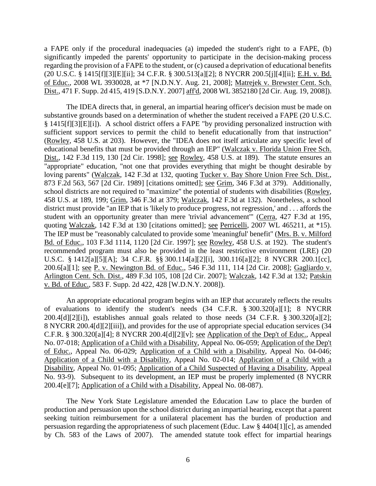a FAPE only if the procedural inadequacies (a) impeded the student's right to a FAPE, (b) significantly impeded the parents' opportunity to participate in the decision-making process regarding the provision of a FAPE to the student, or (c) caused a deprivation of educational benefits (20 U.S.C. § 1415[f][3][E][ii]; 34 C.F.R. § 300.513[a][2]; 8 NYCRR 200.5[j][4][ii]; E.H. v. Bd. of Educ., 2008 WL 3930028, at \*7 [N.D.N.Y. Aug. 21, 2008]; Matrejek v. Brewster Cent. Sch. Dist., 471 F. Supp. 2d 415, 419 [S.D.N.Y. 2007] aff'd, 2008 WL 3852180 [2d Cir. Aug. 19, 2008]).

The IDEA directs that, in general, an impartial hearing officer's decision must be made on substantive grounds based on a determination of whether the student received a FAPE (20 U.S.C. § 1415[f][3][E][i]). A school district offers a FAPE "by providing personalized instruction with sufficient support services to permit the child to benefit educationally from that instruction" (Rowley, 458 U.S. at 203). However, the "IDEA does not itself articulate any specific level of educational benefits that must be provided through an IEP" (Walczak v. Florida Union Free Sch. Dist., 142 F.3d 119, 130 [2d Cir. 1998]; see Rowley, 458 U.S. at 189). The statute ensures an "appropriate" education, "not one that provides everything that might be thought desirable by loving parents" (Walczak, 142 F.3d at 132, quoting Tucker v. Bay Shore Union Free Sch. Dist., 873 F.2d 563, 567 [2d Cir. 1989] [citations omitted]; see Grim, 346 F.3d at 379). Additionally, school districts are not required to "maximize" the potential of students with disabilities (Rowley, 458 U.S. at 189, 199; Grim, 346 F.3d at 379; Walczak, 142 F.3d at 132). Nonetheless, a school district must provide "an IEP that is 'likely to produce progress, not regression,' and . . . affords the student with an opportunity greater than mere 'trivial advancement'" (Cerra, 427 F.3d at 195, quoting Walczak, 142 F.3d at 130 [citations omitted]; see Perricelli, 2007 WL 465211, at \*15). The IEP must be "reasonably calculated to provide some 'meaningful' benefit" (Mrs. B. v. Milford Bd. of Educ., 103 F.3d 1114, 1120 [2d Cir. 1997]; see Rowley, 458 U.S. at 192). The student's recommended program must also be provided in the least restrictive environment (LRE) (20 U.S.C. § 1412[a][5][A]; 34 C.F.R. §§ 300.114[a][2][i], 300.116[a][2]; 8 NYCRR 200.1[cc], 200.6[a][1]; see P. v. Newington Bd. of Educ., 546 F.3d 111, 114 [2d Cir. 2008]; Gagliardo v. Arlington Cent. Sch. Dist., 489 F.3d 105, 108 [2d Cir. 2007]; Walczak, 142 F.3d at 132; Patskin v. Bd. of Educ., 583 F. Supp. 2d 422, 428 [W.D.N.Y. 2008]).

An appropriate educational program begins with an IEP that accurately reflects the results of evaluations to identify the student's needs (34 C.F.R. § 300.320[a][1]; 8 NYCRR 200.4[d][2][i]), establishes annual goals related to those needs (34 C.F.R. § 300.320[a][2]; 8 NYCRR 200.4[d][2][iii]), and provides for the use of appropriate special education services (34 C.F.R. § 300.320[a][4]; 8 NYCRR 200.4[d][2][v]; see Application of the Dep't of Educ., Appeal No. 07-018; Application of a Child with a Disability, Appeal No. 06-059; Application of the Dep't of Educ., Appeal No. 06-029; Application of a Child with a Disability, Appeal No. 04-046; Application of a Child with a Disability, Appeal No. 02-014; Application of a Child with a Disability, Appeal No. 01-095; Application of a Child Suspected of Having a Disability, Appeal No. 93-9). Subsequent to its development, an IEP must be properly implemented (8 NYCRR 200.4[e][7]; Application of a Child with a Disability, Appeal No. 08-087).

The New York State Legislature amended the Education Law to place the burden of production and persuasion upon the school district during an impartial hearing, except that a parent seeking tuition reimbursement for a unilateral placement has the burden of production and persuasion regarding the appropriateness of such placement (Educ. Law § 4404[1][c], as amended by Ch. 583 of the Laws of 2007). The amended statute took effect for impartial hearings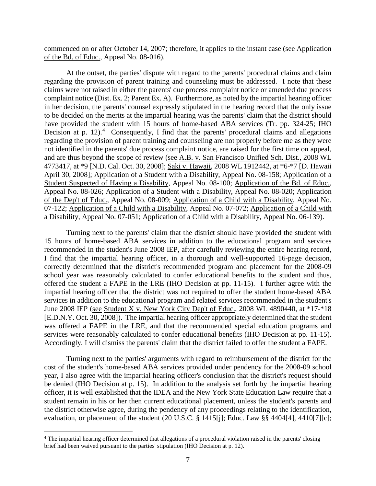commenced on or after October 14, 2007; therefore, it applies to the instant case (see Application of the Bd. of Educ., Appeal No. 08-016).

At the outset, the parties' dispute with regard to the parents' procedural claims and claim regarding the provision of parent training and counseling must be addressed. I note that these claims were not raised in either the parents' due process complaint notice or amended due process complaint notice (Dist. Ex. 2; Parent Ex. A). Furthermore, as noted by the impartial hearing officer in her decision, the parents' counsel expressly stipulated in the hearing record that the only issue to be decided on the merits at the impartial hearing was the parents' claim that the district should have provided the student with 15 hours of home-based ABA services (Tr. pp. 324-25; IHO Decision at p. 12).<sup>4</sup> Consequently, I find that the parents' procedural claims and allegations regarding the provision of parent training and counseling are not properly before me as they were not identified in the parents' due process complaint notice, are raised for the first time on appeal, and are thus beyond the scope of review (see A.B. v. San Francisco Unified Sch. Dist., 2008 WL 4773417, at \*9 [N.D. Cal. Oct. 30, 2008]; Saki v. Hawaii, 2008 WL 1912442, at \*6-\*7 [D. Hawaii April 30, 2008]; Application of a Student with a Disability, Appeal No. 08-158; Application of a Student Suspected of Having a Disability, Appeal No. 08-100; Application of the Bd. of Educ., Appeal No. 08-026; Application of a Student with a Disability, Appeal No. 08-020; Application of the Dep't of Educ., Appeal No. 08-009; Application of a Child with a Disability, Appeal No. 07-122; Application of a Child with a Disability, Appeal No. 07-072; Application of a Child with a Disability, Appeal No. 07-051; Application of a Child with a Disability, Appeal No. 06-139).

Turning next to the parents' claim that the district should have provided the student with 15 hours of home-based ABA services in addition to the educational program and services recommended in the student's June 2008 IEP, after carefully reviewing the entire hearing record, I find that the impartial hearing officer, in a thorough and well-supported 16-page decision, correctly determined that the district's recommended program and placement for the 2008-09 school year was reasonably calculated to confer educational benefits to the student and thus, offered the student a FAPE in the LRE (IHO Decision at pp. 11-15). I further agree with the impartial hearing officer that the district was not required to offer the student home-based ABA services in addition to the educational program and related services recommended in the student's June 2008 IEP (see Student X v. New York City Dep't of Educ., 2008 WL 4890440, at \*17-\*18 [E.D.N.Y. Oct. 30, 2008]). The impartial hearing officer appropriately determined that the student was offered a FAPE in the LRE, and that the recommended special education programs and services were reasonably calculated to confer educational benefits (IHO Decision at pp. 11-15). Accordingly, I will dismiss the parents' claim that the district failed to offer the student a FAPE.

Turning next to the parties' arguments with regard to reimbursement of the district for the cost of the student's home-based ABA services provided under pendency for the 2008-09 school year, I also agree with the impartial hearing officer's conclusion that the district's request should be denied (IHO Decision at p. 15). In addition to the analysis set forth by the impartial hearing officer, it is well established that the IDEA and the New York State Education Law require that a student remain in his or her then current educational placement, unless the student's parents and the district otherwise agree, during the pendency of any proceedings relating to the identification, evaluation, or placement of the student (20 U.S.C. § 1415[j]; Educ. Law §§ 4404[4], 4410[7][c];

 <sup>4</sup> The impartial hearing officer determined that allegations of a procedural violation raised in the parents' closing brief had been waived pursuant to the parties' stipulation (IHO Decision at p. 12).